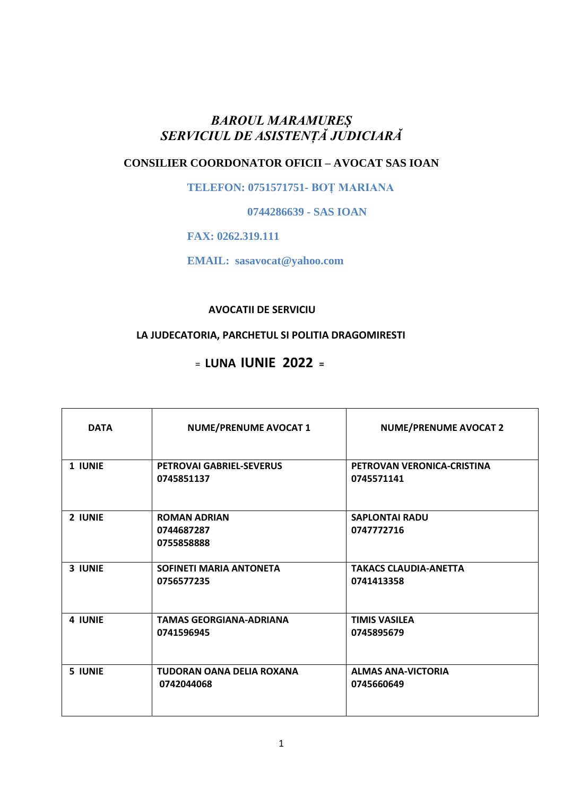## *BAROUL MARAMUREȘ SERVICIUL DE ASISTENȚĂ JUDICIARĂ*

# **CONSILIER COORDONATOR OFICII – AVOCAT SAS IOAN**

 **TELEFON: 0751571751- BOȚ MARIANA**

 **0744286639 - SAS IOAN**

 **FAX: 0262.319.111**

 **EMAIL: sasavocat@yahoo.com**

**AVOCATII DE SERVICIU**

### **LA JUDECATORIA, PARCHETUL SI POLITIA DRAGOMIRESTI**

<sup>=</sup> **LUNA IUNIE 2022 <sup>=</sup>**

| <b>DATA</b> | <b>NUME/PRENUME AVOCAT 1</b>                    | <b>NUME/PRENUME AVOCAT 2</b>               |
|-------------|-------------------------------------------------|--------------------------------------------|
| 1 IUNIE     | <b>PETROVAI GABRIEL-SEVERUS</b><br>0745851137   | PETROVAN VERONICA-CRISTINA<br>0745571141   |
| 2 IUNIE     | <b>ROMAN ADRIAN</b><br>0744687287<br>0755858888 | <b>SAPLONTAI RADU</b><br>0747772716        |
| 3 IUNIE     | <b>SOFINETI MARIA ANTONETA</b><br>0756577235    | <b>TAKACS CLAUDIA-ANETTA</b><br>0741413358 |
| 4 IUNIE     | <b>TAMAS GEORGIANA-ADRIANA</b><br>0741596945    | <b>TIMIS VASILEA</b><br>0745895679         |
| 5 IUNIE     | <b>TUDORAN OANA DELIA ROXANA</b><br>0742044068  | <b>ALMAS ANA-VICTORIA</b><br>0745660649    |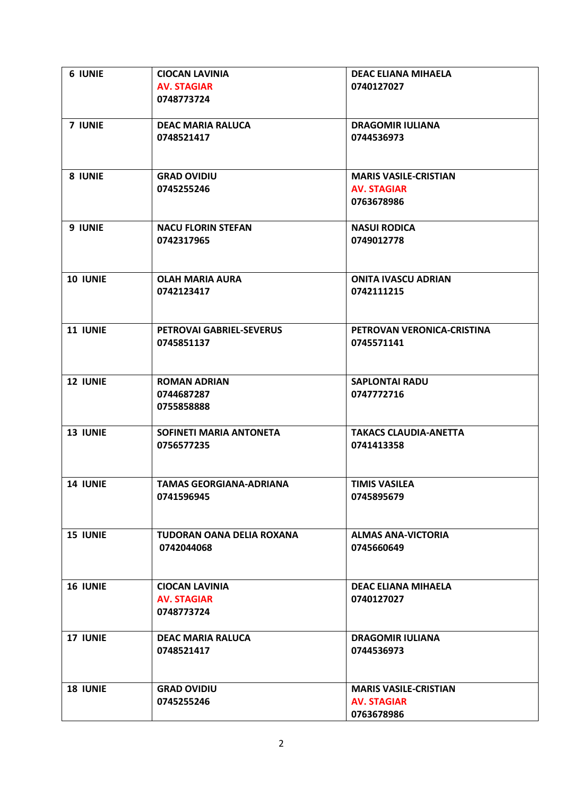| <b>6 IUNIE</b>  | <b>CIOCAN LAVINIA</b>          | <b>DEAC ELIANA MIHAELA</b>       |
|-----------------|--------------------------------|----------------------------------|
|                 | <b>AV. STAGIAR</b>             | 0740127027                       |
|                 | 0748773724                     |                                  |
| 7 IUNIE         | <b>DEAC MARIA RALUCA</b>       | <b>DRAGOMIR IULIANA</b>          |
|                 | 0748521417                     | 0744536973                       |
|                 |                                |                                  |
|                 |                                |                                  |
| 8 IUNIE         | <b>GRAD OVIDIU</b>             | <b>MARIS VASILE-CRISTIAN</b>     |
|                 | 0745255246                     | <b>AV. STAGIAR</b>               |
|                 |                                | 0763678986                       |
|                 |                                |                                  |
| 9 IUNIE         | <b>NACU FLORIN STEFAN</b>      | <b>NASUI RODICA</b>              |
|                 | 0742317965                     | 0749012778                       |
|                 |                                |                                  |
| 10 IUNIE        | <b>OLAH MARIA AURA</b>         | <b>ONITA IVASCU ADRIAN</b>       |
|                 | 0742123417                     | 0742111215                       |
|                 |                                |                                  |
|                 |                                |                                  |
| 11 IUNIE        | PETROVAI GABRIEL-SEVERUS       | PETROVAN VERONICA-CRISTINA       |
|                 | 0745851137                     | 0745571141                       |
|                 |                                |                                  |
| <b>12 IUNIE</b> | <b>ROMAN ADRIAN</b>            | <b>SAPLONTAI RADU</b>            |
|                 | 0744687287                     | 0747772716                       |
|                 | 0755858888                     |                                  |
|                 |                                |                                  |
| 13 IUNIE        | SOFINETI MARIA ANTONETA        | <b>TAKACS CLAUDIA-ANETTA</b>     |
|                 | 0756577235                     | 0741413358                       |
|                 |                                |                                  |
| <b>14 IUNIE</b> | <b>TAMAS GEORGIANA-ADRIANA</b> | <b>TIMIS VASILEA</b>             |
|                 | 0741596945                     | 0745895679                       |
|                 |                                |                                  |
|                 |                                |                                  |
| <b>15 IUNIE</b> | TUDORAN OANA DELIA ROXANA      | <b>ALMAS ANA-VICTORIA</b>        |
|                 | 0742044068                     | 0745660649                       |
|                 |                                |                                  |
| <b>16 IUNIE</b> | <b>CIOCAN LAVINIA</b>          | <b>DEAC ELIANA MIHAELA</b>       |
|                 | <b>AV. STAGIAR</b>             | 0740127027                       |
|                 | 0748773724                     |                                  |
|                 |                                |                                  |
| 17 IUNIE        | <b>DEAC MARIA RALUCA</b>       | <b>DRAGOMIR IULIANA</b>          |
|                 | 0748521417                     | 0744536973                       |
|                 |                                |                                  |
|                 |                                |                                  |
| <b>18 IUNIE</b> | <b>GRAD OVIDIU</b>             | <b>MARIS VASILE-CRISTIAN</b>     |
|                 | 0745255246                     | <b>AV. STAGIAR</b><br>0763678986 |
|                 |                                |                                  |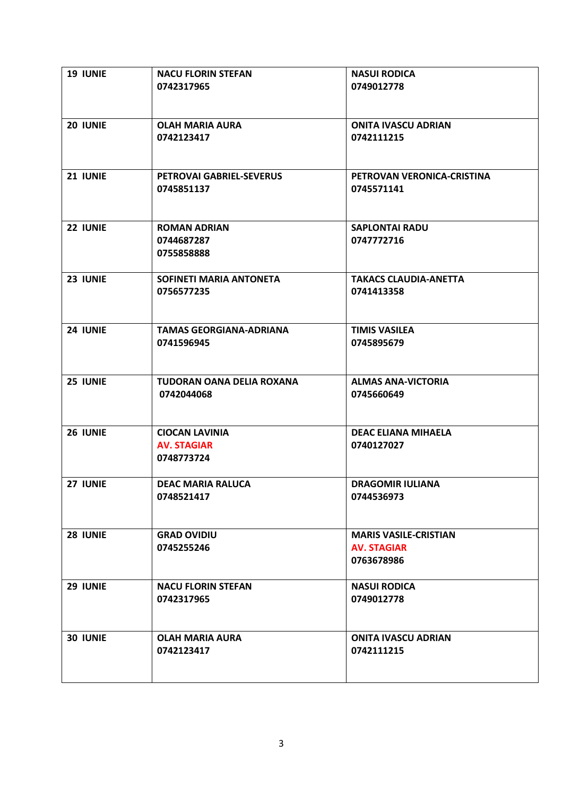| <b>19 IUNIE</b> | <b>NACU FLORIN STEFAN</b>      | <b>NASUI RODICA</b>          |
|-----------------|--------------------------------|------------------------------|
|                 | 0742317965                     | 0749012778                   |
|                 |                                |                              |
|                 |                                |                              |
|                 |                                |                              |
| 20 IUNIE        | <b>OLAH MARIA AURA</b>         | <b>ONITA IVASCU ADRIAN</b>   |
|                 | 0742123417                     | 0742111215                   |
|                 |                                |                              |
|                 |                                |                              |
|                 |                                |                              |
| 21 IUNIE        | PETROVAI GABRIEL-SEVERUS       | PETROVAN VERONICA-CRISTINA   |
|                 | 0745851137                     | 0745571141                   |
|                 |                                |                              |
|                 |                                |                              |
|                 |                                |                              |
| 22 IUNIE        | <b>ROMAN ADRIAN</b>            | <b>SAPLONTAI RADU</b>        |
|                 | 0744687287                     | 0747772716                   |
|                 | 0755858888                     |                              |
|                 |                                |                              |
|                 |                                |                              |
| 23 IUNIE        | SOFINETI MARIA ANTONETA        | <b>TAKACS CLAUDIA-ANETTA</b> |
|                 | 0756577235                     | 0741413358                   |
|                 |                                |                              |
|                 |                                |                              |
|                 |                                |                              |
| 24 IUNIE        | <b>TAMAS GEORGIANA-ADRIANA</b> | <b>TIMIS VASILEA</b>         |
|                 | 0741596945                     | 0745895679                   |
|                 |                                |                              |
|                 |                                |                              |
|                 |                                |                              |
| 25 IUNIE        | TUDORAN OANA DELIA ROXANA      | <b>ALMAS ANA-VICTORIA</b>    |
|                 | 0742044068                     | 0745660649                   |
|                 |                                |                              |
|                 |                                |                              |
|                 |                                |                              |
| 26 IUNIE        | <b>CIOCAN LAVINIA</b>          | <b>DEAC ELIANA MIHAELA</b>   |
|                 | <b>AV. STAGIAR</b>             | 0740127027                   |
|                 | 0748773724                     |                              |
|                 |                                |                              |
| 27 IUNIE        | <b>DEAC MARIA RALUCA</b>       | <b>DRAGOMIR IULIANA</b>      |
|                 |                                |                              |
|                 | 0748521417                     | 0744536973                   |
|                 |                                |                              |
|                 |                                |                              |
| 28 IUNIE        | <b>GRAD OVIDIU</b>             | <b>MARIS VASILE-CRISTIAN</b> |
|                 | 0745255246                     | <b>AV. STAGIAR</b>           |
|                 |                                |                              |
|                 |                                | 0763678986                   |
|                 |                                |                              |
| 29 IUNIE        | <b>NACU FLORIN STEFAN</b>      | <b>NASUI RODICA</b>          |
|                 | 0742317965                     | 0749012778                   |
|                 |                                |                              |
|                 |                                |                              |
|                 |                                |                              |
| 30 IUNIE        | <b>OLAH MARIA AURA</b>         | <b>ONITA IVASCU ADRIAN</b>   |
|                 | 0742123417                     | 0742111215                   |
|                 |                                |                              |
|                 |                                |                              |
|                 |                                |                              |